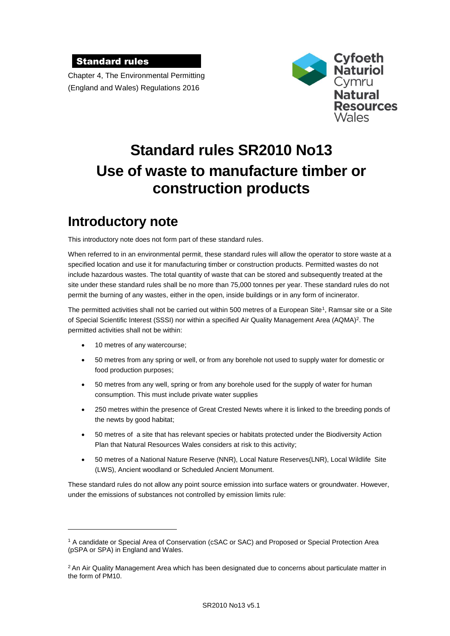### Standard rules

Chapter 4, The Environmental Permitting (England and Wales) Regulations 2016



# **Standard rules SR2010 No13 Use of waste to manufacture timber or construction products**

# **Introductory note**

This introductory note does not form part of these standard rules.

When referred to in an environmental permit, these standard rules will allow the operator to store waste at a specified location and use it for manufacturing timber or construction products. Permitted wastes do not include hazardous wastes. The total quantity of waste that can be stored and subsequently treated at the site under these standard rules shall be no more than 75,000 tonnes per year. These standard rules do not permit the burning of any wastes, either in the open, inside buildings or in any form of incinerator.

The permitted activities shall not be carried out within 500 metres of a European Site<sup>1</sup>, Ramsar site or a Site of Special Scientific Interest (SSSI) nor within a specified Air Quality Management Area (AQMA)<sup>2</sup>. The permitted activities shall not be within:

10 metres of any watercourse;

1

- 50 metres from any spring or well, or from any borehole not used to supply water for domestic or food production purposes;
- 50 metres from any well, spring or from any borehole used for the supply of water for human consumption. This must include private water supplies
- 250 metres within the presence of Great Crested Newts where it is linked to the breeding ponds of the newts by good habitat;
- 50 metres of a site that has relevant species or habitats protected under the Biodiversity Action Plan that Natural Resources Wales considers at risk to this activity;
- 50 metres of a National Nature Reserve (NNR), Local Nature Reserves(LNR), Local Wildlife Site (LWS), Ancient woodland or Scheduled Ancient Monument.

These standard rules do not allow any point source emission into surface waters or groundwater. However, under the emissions of substances not controlled by emission limits rule:

<sup>1</sup> A candidate or Special Area of Conservation (cSAC or SAC) and Proposed or Special Protection Area (pSPA or SPA) in England and Wales.

<sup>&</sup>lt;sup>2</sup> An Air Quality Management Area which has been designated due to concerns about particulate matter in the form of PM10.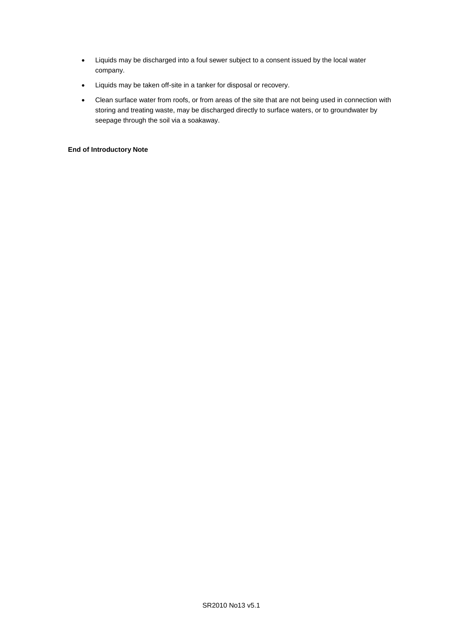- Liquids may be discharged into a foul sewer subject to a consent issued by the local water company.
- Liquids may be taken off-site in a tanker for disposal or recovery.
- Clean surface water from roofs, or from areas of the site that are not being used in connection with storing and treating waste, may be discharged directly to surface waters, or to groundwater by seepage through the soil via a soakaway.

### **End of Introductory Note**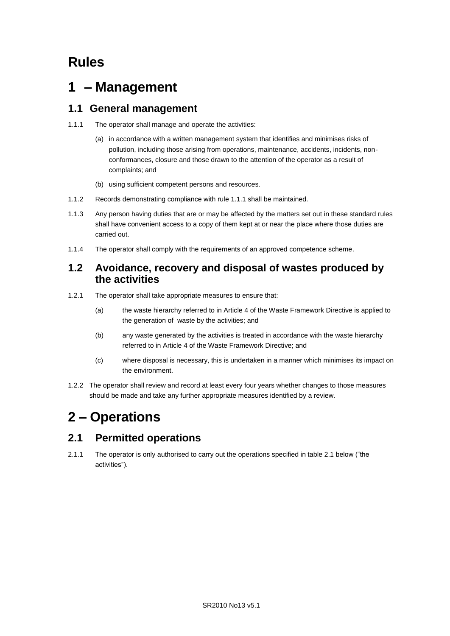## **Rules**

# **1 – Management**

### **1.1 General management**

- 1.1.1 The operator shall manage and operate the activities:
	- (a) in accordance with a written management system that identifies and minimises risks of pollution, including those arising from operations, maintenance, accidents, incidents, nonconformances, closure and those drawn to the attention of the operator as a result of complaints; and
	- (b) using sufficient competent persons and resources.
- 1.1.2 Records demonstrating compliance with rule 1.1.1 shall be maintained.
- 1.1.3 Any person having duties that are or may be affected by the matters set out in these standard rules shall have convenient access to a copy of them kept at or near the place where those duties are carried out.
- 1.1.4 The operator shall comply with the requirements of an approved competence scheme.

### **1.2 Avoidance, recovery and disposal of wastes produced by the activities**

- 1.2.1 The operator shall take appropriate measures to ensure that:
	- (a) the waste hierarchy referred to in Article 4 of the Waste Framework Directive is applied to the generation of waste by the activities; and
	- (b) any waste generated by the activities is treated in accordance with the waste hierarchy referred to in Article 4 of the Waste Framework Directive; and
	- (c) where disposal is necessary, this is undertaken in a manner which minimises its impact on the environment.
- 1.2.2 The operator shall review and record at least every four years whether changes to those measures should be made and take any further appropriate measures identified by a review.

# **2 – Operations**

## **2.1 Permitted operations**

2.1.1 The operator is only authorised to carry out the operations specified in table 2.1 below ("the activities").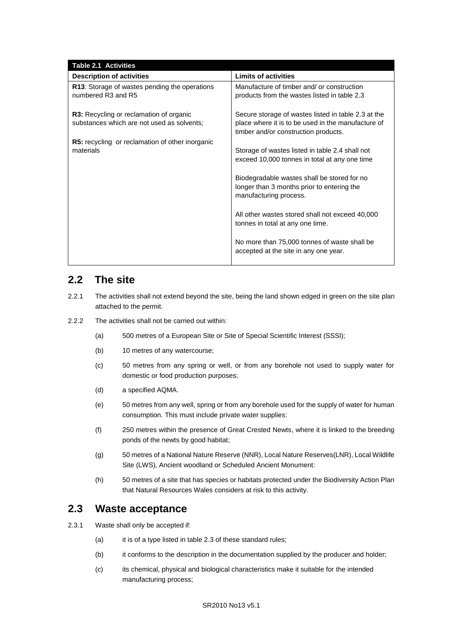| <b>Table 2.1 Activities</b>                                                                  |                                                                                                                                                   |
|----------------------------------------------------------------------------------------------|---------------------------------------------------------------------------------------------------------------------------------------------------|
| <b>Description of activities</b>                                                             | <b>Limits of activities</b>                                                                                                                       |
| <b>R13:</b> Storage of wastes pending the operations<br>numbered R3 and R5                   | Manufacture of timber and/ or construction<br>products from the wastes listed in table 2.3                                                        |
| <b>R3:</b> Recycling or reclamation of organic<br>substances which are not used as solvents; | Secure storage of wastes listed in table 2.3 at the<br>place where it is to be used in the manufacture of<br>timber and/or construction products. |
| <b>R5:</b> recycling or reclamation of other inorganic<br>materials                          | Storage of wastes listed in table 2.4 shall not<br>exceed 10,000 tonnes in total at any one time                                                  |
|                                                                                              | Biodegradable wastes shall be stored for no<br>longer than 3 months prior to entering the<br>manufacturing process.                               |
|                                                                                              | All other wastes stored shall not exceed 40,000<br>tonnes in total at any one time.                                                               |
|                                                                                              | No more than 75,000 tonnes of waste shall be<br>accepted at the site in any one year.                                                             |

### **2.2 The site**

- 2.2.1 The activities shall not extend beyond the site, being the land shown edged in green on the site plan attached to the permit.
- 2.2.2 The activities shall not be carried out within:
	- (a) 500 metres of a European Site or Site of Special Scientific Interest (SSSI);
	- (b) 10 metres of any watercourse;
	- (c) 50 metres from any spring or well, or from any borehole not used to supply water for domestic or food production purposes;
	- (d) a specified AQMA.
	- (e) 50 metres from any well, spring or from any borehole used for the supply of water for human consumption. This must include private water supplies:
	- (f) 250 metres within the presence of Great Crested Newts, where it is linked to the breeding ponds of the newts by good habitat;
	- (g) 50 metres of a National Nature Reserve (NNR), Local Nature Reserves(LNR), Local Wildlife Site (LWS), Ancient woodland or Scheduled Ancient Monument:
	- (h) 50 metres of a site that has species or habitats protected under the Biodiversity Action Plan that Natural Resources Wales considers at risk to this activity.

### **2.3 Waste acceptance**

- 2.3.1 Waste shall only be accepted if:
	- (a) it is of a type listed in table 2.3 of these standard rules;
	- (b) it conforms to the description in the documentation supplied by the producer and holder;
	- (c) its chemical, physical and biological characteristics make it suitable for the intended manufacturing process;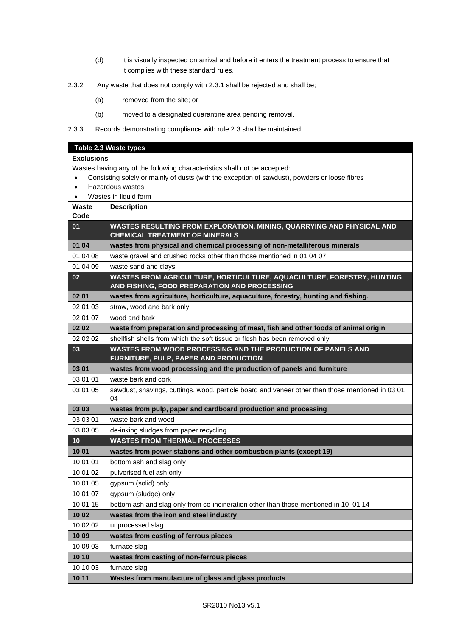- (d) it is visually inspected on arrival and before it enters the treatment process to ensure that it complies with these standard rules.
- 2.3.2 Any waste that does not comply with 2.3.1 shall be rejected and shall be;
	- (a) removed from the site; or
	- (b) moved to a designated quarantine area pending removal.
- 2.3.3 Records demonstrating compliance with rule 2.3 shall be maintained.

### **Table 2.3 Waste types**

### **Exclusions**

Wastes having any of the following characteristics shall not be accepted:

- Consisting solely or mainly of dusts (with the exception of sawdust), powders or loose fibres
- Hazardous wastes
- Wastes in liquid form

| Waste<br>Code | <b>Description</b>                                                                                                    |
|---------------|-----------------------------------------------------------------------------------------------------------------------|
| 01            | WASTES RESULTING FROM EXPLORATION, MINING, QUARRYING AND PHYSICAL AND<br><b>CHEMICAL TREATMENT OF MINERALS</b>        |
| 01 04         | wastes from physical and chemical processing of non-metalliferous minerals                                            |
| 01 04 08      | waste gravel and crushed rocks other than those mentioned in 01 04 07                                                 |
| 01 04 09      | waste sand and clays                                                                                                  |
| 02            | WASTES FROM AGRICULTURE, HORTICULTURE, AQUACULTURE, FORESTRY, HUNTING<br>AND FISHING, FOOD PREPARATION AND PROCESSING |
| 02 01         | wastes from agriculture, horticulture, aquaculture, forestry, hunting and fishing.                                    |
| 02 01 03      | straw, wood and bark only                                                                                             |
| 02 01 07      | wood and bark                                                                                                         |
| 02 02         | waste from preparation and processing of meat, fish and other foods of animal origin                                  |
| 02 02 02      | shellfish shells from which the soft tissue or flesh has been removed only                                            |
| 03            | WASTES FROM WOOD PROCESSING AND THE PRODUCTION OF PANELS AND<br>FURNITURE, PULP, PAPER AND PRODUCTION                 |
| 03 01         | wastes from wood processing and the production of panels and furniture                                                |
| 03 01 01      | waste bark and cork                                                                                                   |
| 03 01 05      | sawdust, shavings, cuttings, wood, particle board and veneer other than those mentioned in 0301<br>04                 |
| 03 03         | wastes from pulp, paper and cardboard production and processing                                                       |
| 03 03 01      | waste bark and wood                                                                                                   |
| 03 03 05      | de-inking sludges from paper recycling                                                                                |
| 10            | <b>WASTES FROM THERMAL PROCESSES</b>                                                                                  |
| 10 01         | wastes from power stations and other combustion plants (except 19)                                                    |
| 10 01 01      | bottom ash and slag only                                                                                              |
| 10 01 02      | pulverised fuel ash only                                                                                              |
| 10 01 05      | gypsum (solid) only                                                                                                   |
| 10 01 07      | gypsum (sludge) only                                                                                                  |
| 10 01 15      | bottom ash and slag only from co-incineration other than those mentioned in 10 01 14                                  |
| 10 02         | wastes from the iron and steel industry                                                                               |
| 10 02 02      | unprocessed slag                                                                                                      |
| 10 09         | wastes from casting of ferrous pieces                                                                                 |
| 10 09 03      | furnace slag                                                                                                          |
| 10 10         | wastes from casting of non-ferrous pieces                                                                             |
| 10 10 03      | furnace slag                                                                                                          |
| 10 11         | Wastes from manufacture of glass and glass products                                                                   |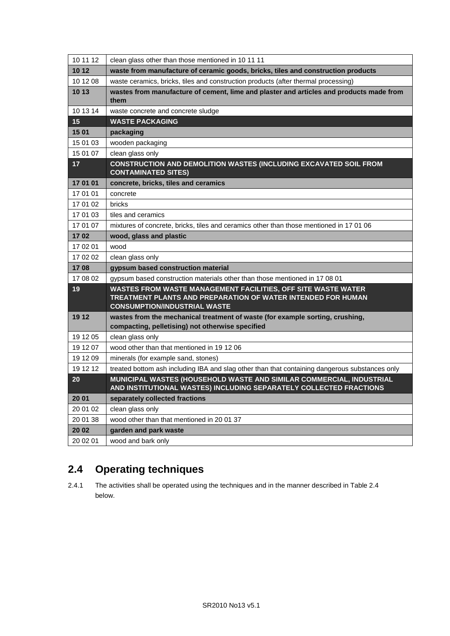| 10 11 12 | clean glass other than those mentioned in 10 11 11                                                                                                                          |
|----------|-----------------------------------------------------------------------------------------------------------------------------------------------------------------------------|
| 10 12    | waste from manufacture of ceramic goods, bricks, tiles and construction products                                                                                            |
| 10 12 08 | waste ceramics, bricks, tiles and construction products (after thermal processing)                                                                                          |
| 10 13    | wastes from manufacture of cement, lime and plaster and articles and products made from<br>them                                                                             |
| 10 13 14 | waste concrete and concrete sludge                                                                                                                                          |
| 15       | <b>WASTE PACKAGING</b>                                                                                                                                                      |
| 15 01    | packaging                                                                                                                                                                   |
| 15 01 03 | wooden packaging                                                                                                                                                            |
| 15 01 07 | clean glass only                                                                                                                                                            |
| 17       | CONSTRUCTION AND DEMOLITION WASTES (INCLUDING EXCAVATED SOIL FROM<br><b>CONTAMINATED SITES)</b>                                                                             |
| 17 01 01 | concrete, bricks, tiles and ceramics                                                                                                                                        |
| 17 01 01 | concrete                                                                                                                                                                    |
| 17 01 02 | bricks                                                                                                                                                                      |
| 17 01 03 | tiles and ceramics                                                                                                                                                          |
| 17 01 07 | mixtures of concrete, bricks, tiles and ceramics other than those mentioned in 17 01 06                                                                                     |
| 1702     | wood, glass and plastic                                                                                                                                                     |
| 17 02 01 | wood                                                                                                                                                                        |
| 17 02 02 | clean glass only                                                                                                                                                            |
| 1708     | gypsum based construction material                                                                                                                                          |
| 17 08 02 | gypsum based construction materials other than those mentioned in 17 08 01                                                                                                  |
| 19       | <b>WASTES FROM WASTE MANAGEMENT FACILITIES, OFF SITE WASTE WATER</b><br>TREATMENT PLANTS AND PREPARATION OF WATER INTENDED FOR HUMAN<br><b>CONSUMPTION/INDUSTRIAL WASTE</b> |
| 19 12    | wastes from the mechanical treatment of waste (for example sorting, crushing,<br>compacting, pelletising) not otherwise specified                                           |
| 19 12 05 | clean glass only                                                                                                                                                            |
| 19 12 07 | wood other than that mentioned in 19 12 06                                                                                                                                  |
| 19 12 09 | minerals (for example sand, stones)                                                                                                                                         |
| 19 12 12 | treated bottom ash including IBA and slag other than that containing dangerous substances only                                                                              |
| 20       | MUNICIPAL WASTES (HOUSEHOLD WASTE AND SIMILAR COMMERCIAL, INDUSTRIAL<br>AND INSTITUTIONAL WASTES) INCLUDING SEPARATELY COLLECTED FRACTIONS                                  |
| 20 01    | separately collected fractions                                                                                                                                              |
| 20 01 02 | clean glass only                                                                                                                                                            |
| 20 01 38 | wood other than that mentioned in 2001 37                                                                                                                                   |
| 20 02    | garden and park waste                                                                                                                                                       |
| 20 02 01 | wood and bark only                                                                                                                                                          |

## **2.4 Operating techniques**

2.4.1 The activities shall be operated using the techniques and in the manner described in Table 2.4 below.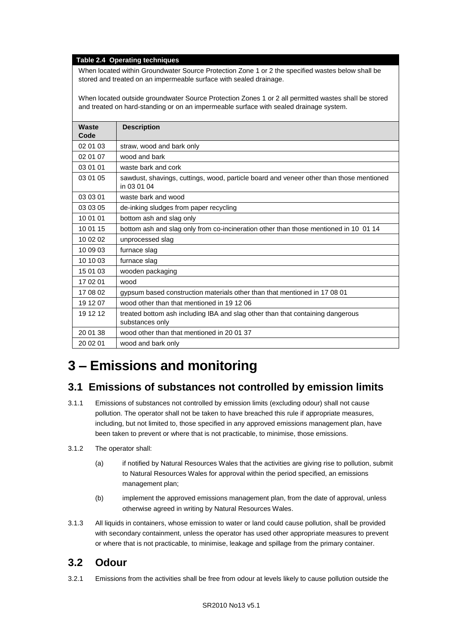#### **Table 2.4 Operating techniques**

When located within Groundwater Source Protection Zone 1 or 2 the specified wastes below shall be stored and treated on an impermeable surface with sealed drainage.

When located outside groundwater Source Protection Zones 1 or 2 all permitted wastes shall be stored and treated on hard-standing or on an impermeable surface with sealed drainage system.

| <b>Waste</b><br>Code | <b>Description</b>                                                                                     |
|----------------------|--------------------------------------------------------------------------------------------------------|
| 02 01 03             | straw, wood and bark only                                                                              |
| 02 01 07             | wood and bark                                                                                          |
| 03 01 01             | waste bark and cork                                                                                    |
| 03 01 05             | sawdust, shavings, cuttings, wood, particle board and veneer other than those mentioned<br>in 03 01 04 |
| 03 03 01             | waste bark and wood                                                                                    |
| 03 03 05             | de-inking sludges from paper recycling                                                                 |
| 10 01 01             | bottom ash and slag only                                                                               |
| 10 01 15             | bottom ash and slag only from co-incineration other than those mentioned in 10 01 14                   |
| 10 02 02             | unprocessed slag                                                                                       |
| 10 09 03             | furnace slag                                                                                           |
| 10 10 03             | furnace slag                                                                                           |
| 15 01 03             | wooden packaging                                                                                       |
| 17 02 01             | wood                                                                                                   |
| 17 08 02             | gypsum based construction materials other than that mentioned in 17 08 01                              |
| 19 12 07             | wood other than that mentioned in 19 12 06                                                             |
| 19 12 12             | treated bottom ash including IBA and slag other than that containing dangerous<br>substances only      |
| 20 01 38             | wood other than that mentioned in 2001 37                                                              |
| 20 02 01             | wood and bark only                                                                                     |

# **3 – Emissions and monitoring**

### **3.1 Emissions of substances not controlled by emission limits**

- 3.1.1 Emissions of substances not controlled by emission limits (excluding odour) shall not cause pollution. The operator shall not be taken to have breached this rule if appropriate measures, including, but not limited to, those specified in any approved emissions management plan, have been taken to prevent or where that is not practicable, to minimise, those emissions.
- 3.1.2 The operator shall:
	- (a) if notified by Natural Resources Wales that the activities are giving rise to pollution, submit to Natural Resources Wales for approval within the period specified, an emissions management plan;
	- (b) implement the approved emissions management plan, from the date of approval, unless otherwise agreed in writing by Natural Resources Wales.
- 3.1.3 All liquids in containers, whose emission to water or land could cause pollution, shall be provided with secondary containment, unless the operator has used other appropriate measures to prevent or where that is not practicable, to minimise, leakage and spillage from the primary container.

### **3.2 Odour**

3.2.1 Emissions from the activities shall be free from odour at levels likely to cause pollution outside the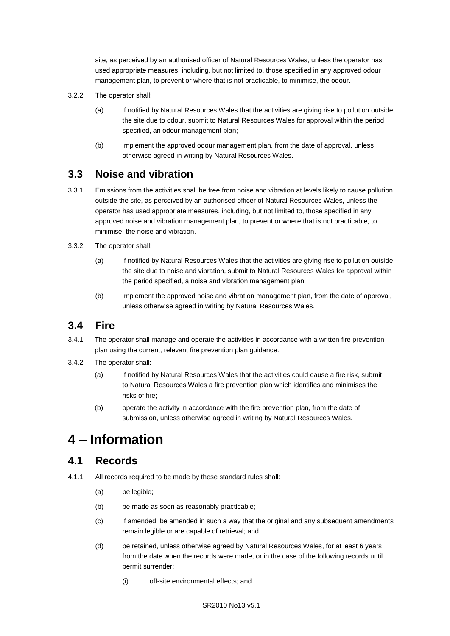site, as perceived by an authorised officer of Natural Resources Wales, unless the operator has used appropriate measures, including, but not limited to, those specified in any approved odour management plan, to prevent or where that is not practicable, to minimise, the odour.

- 3.2.2 The operator shall:
	- (a) if notified by Natural Resources Wales that the activities are giving rise to pollution outside the site due to odour, submit to Natural Resources Wales for approval within the period specified, an odour management plan;
	- (b) implement the approved odour management plan, from the date of approval, unless otherwise agreed in writing by Natural Resources Wales.

### **3.3 Noise and vibration**

- 3.3.1 Emissions from the activities shall be free from noise and vibration at levels likely to cause pollution outside the site, as perceived by an authorised officer of Natural Resources Wales, unless the operator has used appropriate measures, including, but not limited to, those specified in any approved noise and vibration management plan, to prevent or where that is not practicable, to minimise, the noise and vibration.
- 3.3.2 The operator shall:
	- (a) if notified by Natural Resources Wales that the activities are giving rise to pollution outside the site due to noise and vibration, submit to Natural Resources Wales for approval within the period specified, a noise and vibration management plan;
	- (b) implement the approved noise and vibration management plan, from the date of approval, unless otherwise agreed in writing by Natural Resources Wales.

### **3.4 Fire**

- 3.4.1 The operator shall manage and operate the activities in accordance with a written fire prevention plan using the current, relevant fire prevention plan guidance.
- 3.4.2 The operator shall:
	- (a) if notified by Natural Resources Wales that the activities could cause a fire risk, submit to Natural Resources Wales a fire prevention plan which identifies and minimises the risks of fire;
	- (b) operate the activity in accordance with the fire prevention plan, from the date of submission, unless otherwise agreed in writing by Natural Resources Wales.

# **4 – Information**

### **4.1 Records**

- 4.1.1 All records required to be made by these standard rules shall:
	- (a) be legible;
	- (b) be made as soon as reasonably practicable;
	- (c) if amended, be amended in such a way that the original and any subsequent amendments remain legible or are capable of retrieval; and
	- (d) be retained, unless otherwise agreed by Natural Resources Wales, for at least 6 years from the date when the records were made, or in the case of the following records until permit surrender:
		- (i) off-site environmental effects; and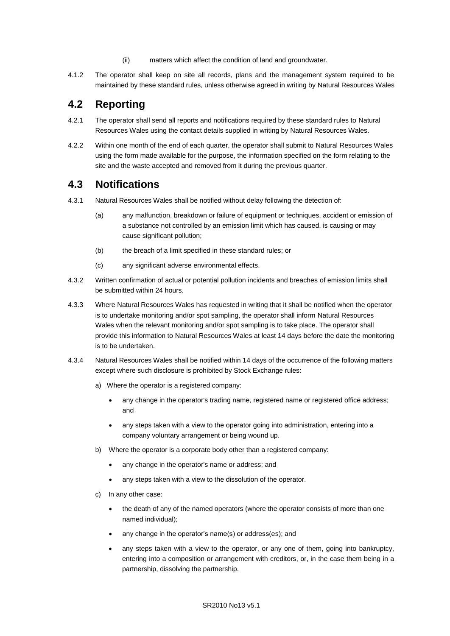- (ii) matters which affect the condition of land and groundwater.
- 4.1.2 The operator shall keep on site all records, plans and the management system required to be maintained by these standard rules, unless otherwise agreed in writing by Natural Resources Wales

### **4.2 Reporting**

- 4.2.1 The operator shall send all reports and notifications required by these standard rules to Natural Resources Wales using the contact details supplied in writing by Natural Resources Wales.
- 4.2.2 Within one month of the end of each quarter, the operator shall submit to Natural Resources Wales using the form made available for the purpose, the information specified on the form relating to the site and the waste accepted and removed from it during the previous quarter.

### **4.3 Notifications**

- 4.3.1 Natural Resources Wales shall be notified without delay following the detection of:
	- (a) any malfunction, breakdown or failure of equipment or techniques, accident or emission of a substance not controlled by an emission limit which has caused, is causing or may cause significant pollution;
	- (b) the breach of a limit specified in these standard rules; or
	- (c) any significant adverse environmental effects.
- 4.3.2 Written confirmation of actual or potential pollution incidents and breaches of emission limits shall be submitted within 24 hours.
- 4.3.3 Where Natural Resources Wales has requested in writing that it shall be notified when the operator is to undertake monitoring and/or spot sampling, the operator shall inform Natural Resources Wales when the relevant monitoring and/or spot sampling is to take place. The operator shall provide this information to Natural Resources Wales at least 14 days before the date the monitoring is to be undertaken.
- 4.3.4 Natural Resources Wales shall be notified within 14 days of the occurrence of the following matters except where such disclosure is prohibited by Stock Exchange rules:
	- a) Where the operator is a registered company:
		- any change in the operator's trading name, registered name or registered office address; and
		- any steps taken with a view to the operator going into administration, entering into a company voluntary arrangement or being wound up.
	- b) Where the operator is a corporate body other than a registered company:
		- any change in the operator's name or address; and
		- any steps taken with a view to the dissolution of the operator.
	- c) In any other case:
		- the death of any of the named operators (where the operator consists of more than one named individual);
		- any change in the operator's name(s) or address(es); and
		- any steps taken with a view to the operator, or any one of them, going into bankruptcy, entering into a composition or arrangement with creditors, or, in the case them being in a partnership, dissolving the partnership.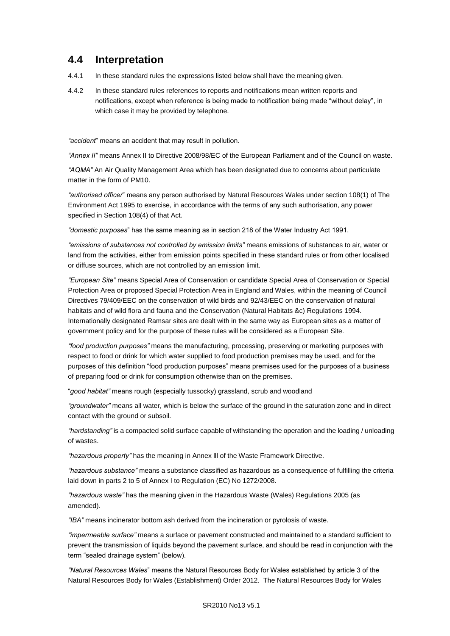## **4.4 Interpretation**

- 4.4.1 In these standard rules the expressions listed below shall have the meaning given.
- 4.4.2 In these standard rules references to reports and notifications mean written reports and notifications, except when reference is being made to notification being made "without delay", in which case it may be provided by telephone.

*"accident*" means an accident that may result in pollution.

*"Annex II"* means Annex II to Directive 2008/98/EC of the European Parliament and of the Council on waste.

*"AQMA"* An Air Quality Management Area which has been designated due to concerns about particulate matter in the form of PM10.

*"authorised officer*" means any person authorised by Natural Resources Wales under section 108(1) of The Environment Act 1995 to exercise, in accordance with the terms of any such authorisation, any power specified in Section 108(4) of that Act*.*

*"domestic purposes*" has the same meaning as in section 218 of the Water Industry Act 1991.

*"emissions of substances not controlled by emission limits"* means emissions of substances to air, water or land from the activities, either from emission points specified in these standard rules or from other localised or diffuse sources, which are not controlled by an emission limit.

*"European Site"* means Special Area of Conservation or candidate Special Area of Conservation or Special Protection Area or proposed Special Protection Area in England and Wales, within the meaning of Council Directives 79/409/EEC on the conservation of wild birds and 92/43/EEC on the conservation of natural habitats and of wild flora and fauna and the Conservation (Natural Habitats &c) Regulations 1994. Internationally designated Ramsar sites are dealt with in the same way as European sites as a matter of government policy and for the purpose of these rules will be considered as a European Site.

*"food production purposes"* means the manufacturing, processing, preserving or marketing purposes with respect to food or drink for which water supplied to food production premises may be used, and for the purposes of this definition "food production purposes" means premises used for the purposes of a business of preparing food or drink for consumption otherwise than on the premises.

"*good habitat"* means rough (especially tussocky) grassland, scrub and woodland

*"groundwater"* means all water, which is below the surface of the ground in the saturation zone and in direct contact with the ground or subsoil.

*"hardstanding"* is a compacted solid surface capable of withstanding the operation and the loading / unloading of wastes.

*"hazardous property"* has the meaning in Annex lll of the Waste Framework Directive.

*"hazardous substance"* means a substance classified as hazardous as a consequence of fulfilling the criteria laid down in parts 2 to 5 of Annex I to Regulation (EC) No 1272/2008.

*"hazardous waste"* has the meaning given in the Hazardous Waste (Wales) Regulations 2005 (as amended).

*"IBA"* means incinerator bottom ash derived from the incineration or pyrolosis of waste.

*"impermeable surface"* means a surface or pavement constructed and maintained to a standard sufficient to prevent the transmission of liquids beyond the pavement surface, and should be read in conjunction with the term "sealed drainage system" (below).

*"Natural Resources Wales*" means the Natural Resources Body for Wales established by article 3 of the Natural Resources Body for Wales (Establishment) Order 2012. The Natural Resources Body for Wales